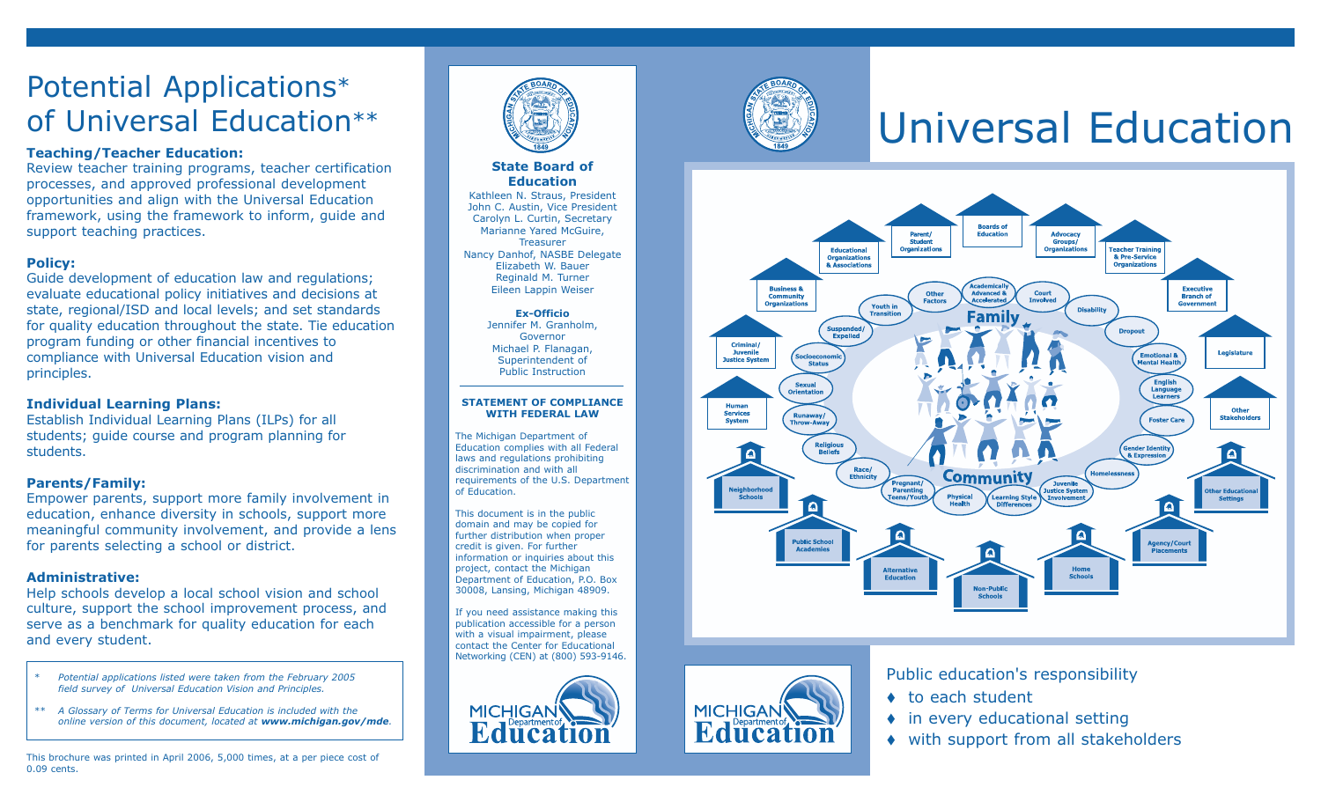# Potential Applications \* of Universal Education\*\*

### **Teaching/Teacher Education:**

Review teacher training programs, teacher certification processes, and approved professional development opportunities and align with the Universal Education framework, using the framework to inform, guide and support teaching practices.

## **Policy:**

Guide development of education law and regulations; evaluate educational policy initiatives and decisions at state, regional/ISD and local levels; and set standards for quality education throughout the state. Tie education program funding or other financial incentives to compliance with Universal Education vision and principles.

#### **Individual Learning Plans:**

Establish Individual Learning Plans (ILPs) for all students; guide course and program planning for students.

## **Parents/Family:**

Empower parents, support more family involvement in education, enhance diversity in schools, support more meaningful community involvement, and provide a lens for parents selecting a school or district.

#### **Administrative:**

Help schools develop a local school vision and school culture, support the school improvement process, and serve as a benchmark for quality education for each and every student.

- *\* Potential applications listed were taken from the February 2005 field survey of Universal Education Vision and Principles.*
- *\*\* A Glossary of Terms for Universal Education is included with the online version of this document, located at www.michigan.gov/mde .*

This brochure was printed in April 2006, 5,000 times, at a per piece cost of 0.09 cents.



#### **State Board of Education**

Kathleen N. Straus, President John C. Austin, Vice President Carolyn L. Curtin, Secretary Marianne Yared McGuire, **Treasurer** Nancy Danhof, NASBE Delegate Elizabeth W. Bauer Reginald M. Turner Eileen Lappin Weiser

> **Ex-Officio** Jennifer M. Granholm, Governor Michael P. Flanagan, Superintendent of Public Instruction

#### **STATEMENT OF COMPLIANCE WITH FEDERAL LAW**

The Michigan Department of Education complies with all Federal laws and regulations prohibiting discrimination and with all requirements of the U.S. Department of Education.

This document is in the public domain and may be copied for further distribution when proper credit is given. For further information or inquiries about this project, contact the Michigan Department of Education, P.O. Box 30008, Lansing, Michigan 48909.

If you need assistance making this publication accessible for a person with a visual impairment, please contact the Center for Educational Networking (CEN) at (800) 593-9146.





**MICHIGAN** 

**Educatio** 

# Universal Education



Public education's responsibility

- $\bullet$  to each student
- $\bullet$  in every educational setting
- with support from all stakeholders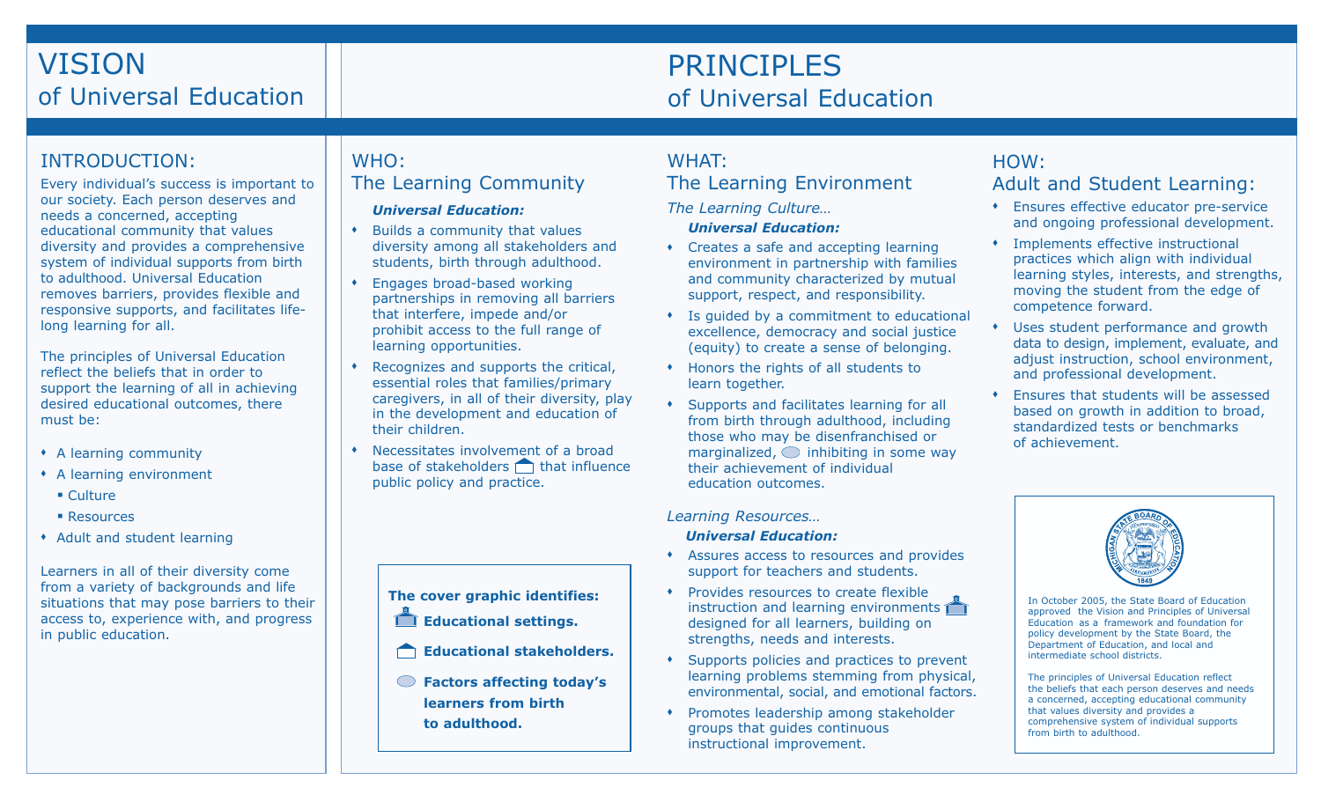# VISION of Universal Education

# PRINCIPLES of Universal Education

# INTRODUCTION:

Every individual's success is important to our society. Each person deserves and needs a concerned, accepting educational community that values diversity and provides a comprehensive system of individual supports from birth to adulthood. Universal Education removes barriers, provides flexible and responsive supports, and facilitates lifelong learning for all.

The principles of Universal Education reflect the beliefs that in order to support the learning of all in achieving desired educational outcomes, there must be:

- A learning community
- A learning environment
	- Culture
	- **Resources**
- Adult and student learning

Learners in all of their diversity come from a variety of backgrounds and life situations that may pose barriers to their access to, experience with, and progress in public education.

# WHO: The Learning Community

## *Universal Education:*

- Builds a community that values diversity among all stakeholders and students, birth through adulthood.
- Engages broad-based working partnerships in removing all barriers that interfere, impede and/or prohibit access to the full range of learning opportunities.
- Recognizes and supports the critical, essential roles that families/primary caregivers, in all of their diversity, play in the development and education of their children.
- Necessitates involvement of a broad base of stakeholders  $\bigcap$  that influence public policy and practice.

# **The cover graphic identifies:**

- **Educational settings.**
- **Educational stakeholders.**
- **Factors affecting today's learners from birth to adulthood.**

# WHAT: The Learning Environment

*The Learning Culture…*

# *Universal Education:*

- Creates a safe and accepting learning environment in partnership with families and community characterized by mutual support, respect, and responsibility.
- Is guided by a commitment to educational excellence, democracy and social justice (equity) to create a sense of belonging.
- Honors the rights of all students to learn together.
- Supports and facilitates learning for all from birth through adulthood, including those who may be disenfranchised or marginalized,  $\bigcirc$  inhibiting in some way their achievement of individual education outcomes.

*Learning Resources…*

#### *Universal Education:*

- Assures access to resources and provides support for teachers and students.
- Provides resources to create flexible instruction and learning environments designed for all learners, building on strengths, needs and interests.
- Supports policies and practices to prevent learning problems stemming from physical, environmental, social, and emotional factors.
- Promotes leadership among stakeholder groups that guides continuous instructional improvement.

# HOW: Adult and Student Learning:

- Ensures effective educator pre-service and ongoing professional development.
- Implements effective instructional practices which align with individual learning styles, interests, and strengths, moving the student from the edge of competence forward.
- Uses student performance and growth data to design, implement, evaluate, and adjust instruction, school environment, and professional development.
- Ensures that students will be assessed based on growth in addition to broad, standardized tests or benchmarks of achievement.



In October 2005, the State Board of Education approved the Vision and Principles of Universal Education as a framework and foundation for policy development by the State Board, the Department of Education, and local and intermediate school districts.

The principles of Universal Education reflect the beliefs that each person deserves and needs a concerned, accepting educational community that values diversity and provides a comprehensive system of individual supports from birth to adulthood.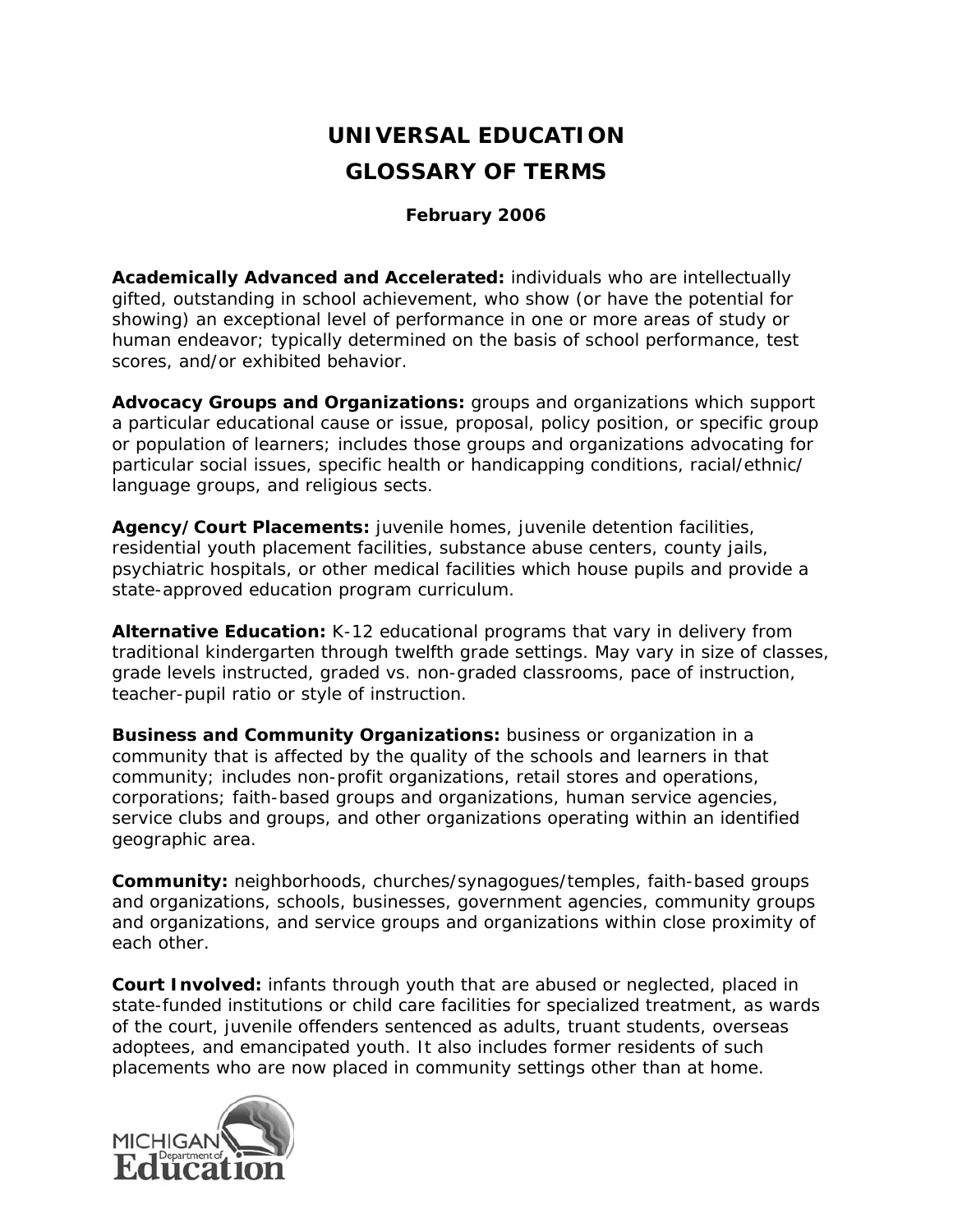# **UNIVERSAL EDUCATION GLOSSARY OF TERMS**

# *February 2006*

**Academically Advanced and Accelerated:** individuals who are intellectually gifted, outstanding in school achievement, who show (or have the potential for showing) an exceptional level of performance in one or more areas of study or human endeavor; typically determined on the basis of school performance, test scores, and/or exhibited behavior.

**Advocacy Groups and Organizations:** groups and organizations which support a particular educational cause or issue, proposal, policy position, or specific group or population of learners; includes those groups and organizations advocating for particular social issues, specific health or handicapping conditions, racial/ethnic/ language groups, and religious sects.

**Agency/Court Placements:** juvenile homes, juvenile detention facilities, residential youth placement facilities, substance abuse centers, county jails, psychiatric hospitals, or other medical facilities which house pupils and provide a state-approved education program curriculum.

**Alternative Education:** K-12 educational programs that vary in delivery from traditional kindergarten through twelfth grade settings. May vary in size of classes, grade levels instructed, graded vs. non-graded classrooms, pace of instruction, teacher-pupil ratio or style of instruction.

**Business and Community Organizations:** business or organization in a community that is affected by the quality of the schools and learners in that community; includes non-profit organizations, retail stores and operations, corporations; faith-based groups and organizations, human service agencies, service clubs and groups, and other organizations operating within an identified geographic area.

**Community:** neighborhoods, churches/synagogues/temples, faith-based groups and organizations, schools, businesses, government agencies, community groups and organizations, and service groups and organizations within close proximity of each other.

**Court Involved:** infants through youth that are abused or neglected, placed in state-funded institutions or child care facilities for specialized treatment, as wards of the court, juvenile offenders sentenced as adults, truant students, overseas adoptees, and emancipated youth. It also includes former residents of such placements who are now placed in community settings other than at home.

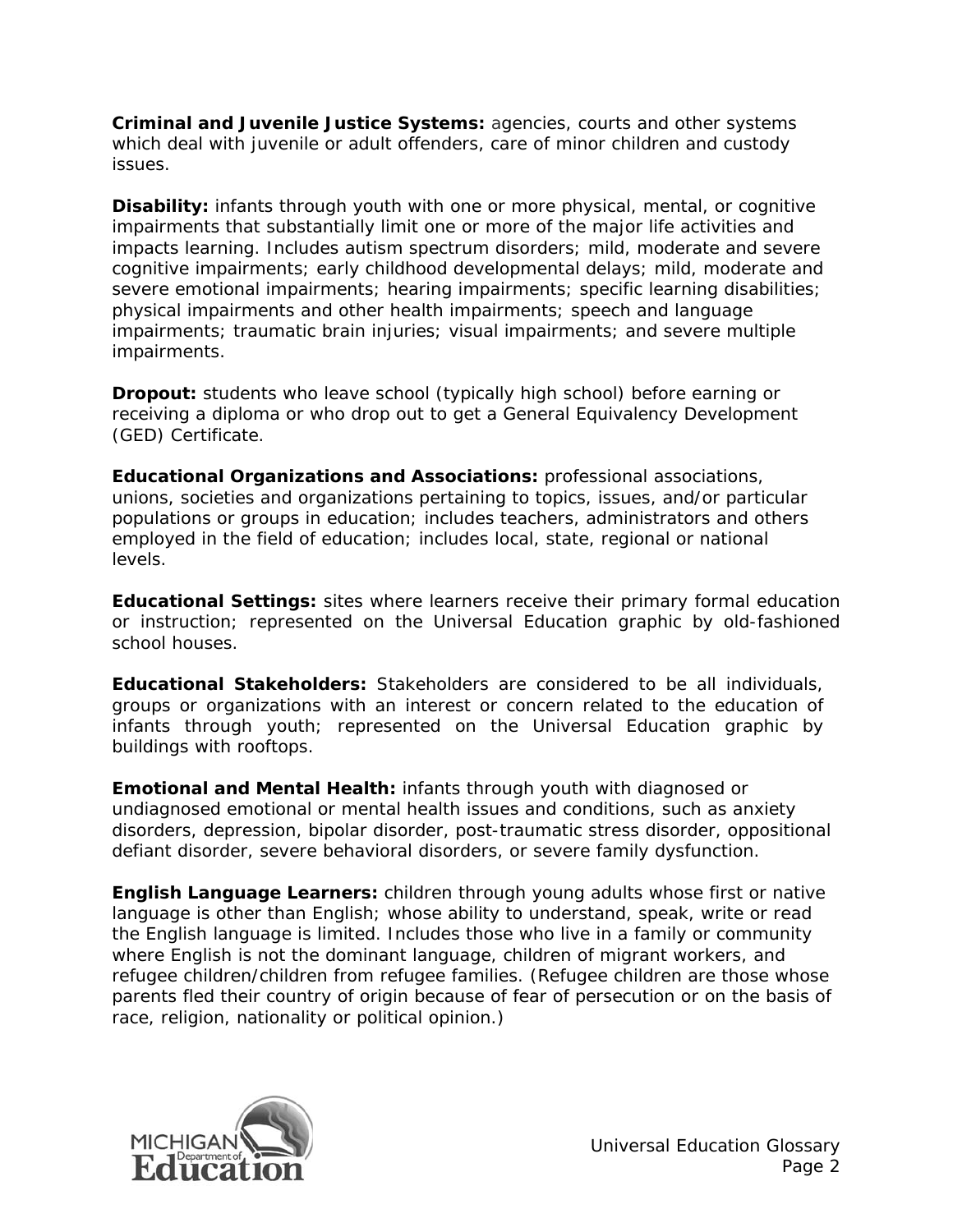**Criminal and Juvenile Justice Systems:** agencies, courts and other systems which deal with juvenile or adult offenders, care of minor children and custody issues.

**Disability:** infants through youth with one or more physical, mental, or cognitive impairments that substantially limit one or more of the major life activities and impacts learning. Includes autism spectrum disorders; mild, moderate and severe cognitive impairments; early childhood developmental delays; mild, moderate and severe emotional impairments; hearing impairments; specific learning disabilities; physical impairments and other health impairments; speech and language impairments; traumatic brain injuries; visual impairments; and severe multiple impairments.

**Dropout:** students who leave school (typically high school) before earning or receiving a diploma or who drop out to get a General Equivalency Development (GED) Certificate.

**Educational Organizations and Associations:** professional associations, unions, societies and organizations pertaining to topics, issues, and/or particular populations or groups in education; includes teachers, administrators and others employed in the field of education; includes local, state, regional or national levels.

**Educational Settings:** sites where learners receive their primary formal education or instruction; represented on the Universal Education graphic by old-fashioned school houses.

**Educational Stakeholders:** Stakeholders are considered to be all individuals, groups or organizations with an interest or concern related to the education of infants through youth; represented on the Universal Education graphic by buildings with rooftops.

**Emotional and Mental Health:** infants through youth with diagnosed or undiagnosed emotional or mental health issues and conditions, such as anxiety disorders, depression, bipolar disorder, post-traumatic stress disorder, oppositional defiant disorder, severe behavioral disorders, or severe family dysfunction.

**English Language Learners:** children through young adults whose first or native language is other than English; whose ability to understand, speak, write or read the English language is limited. Includes those who live in a family or community where English is not the dominant language, children of migrant workers, and refugee children/children from refugee families. (Refugee children are those whose parents fled their country of origin because of fear of persecution or on the basis of race, religion, nationality or political opinion.)

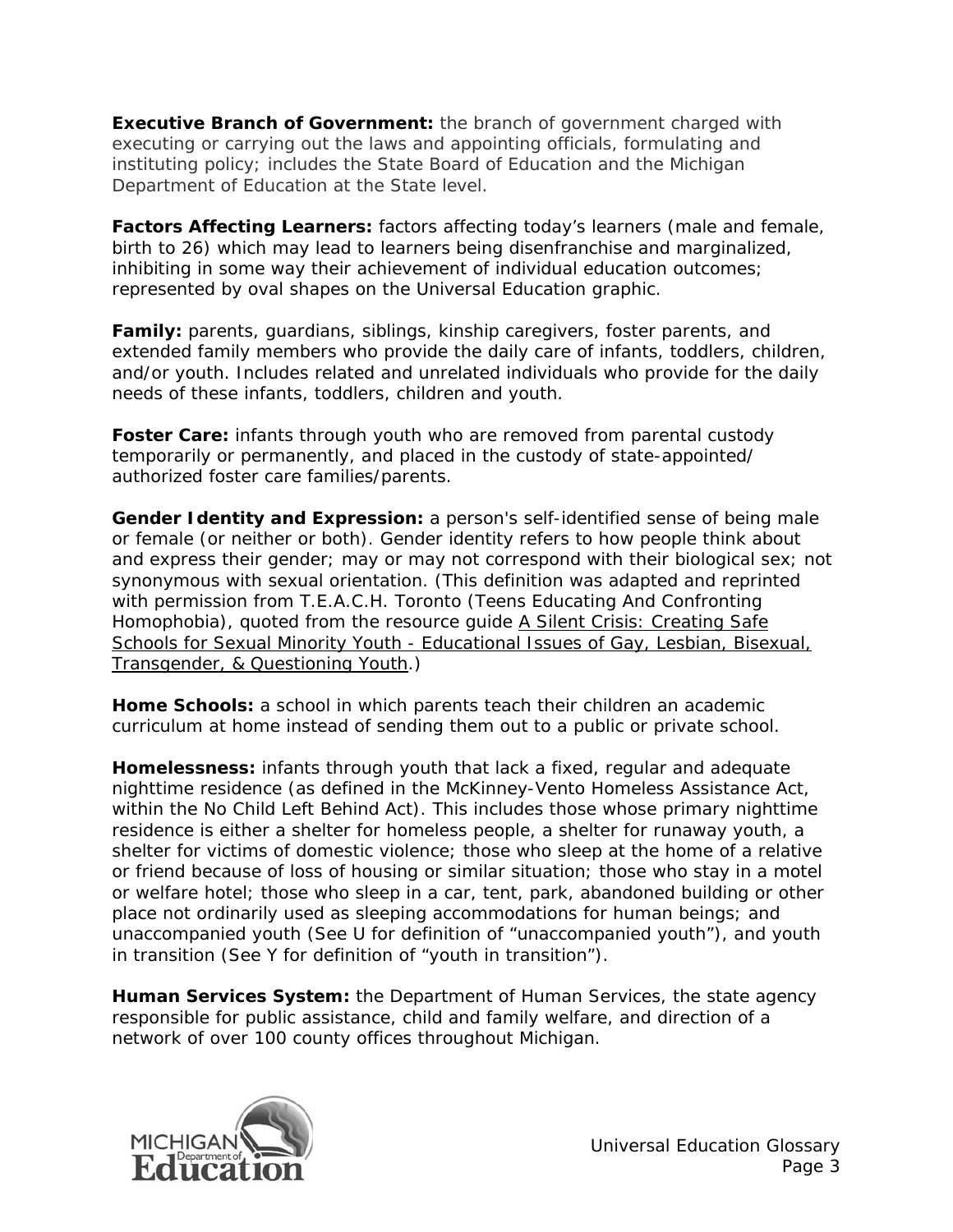**Executive Branch of Government:** the branch of government charged with executing or carrying out the laws and appointing officials, formulating and instituting policy; includes the State Board of Education and the Michigan Department of Education at the State level.

**Factors Affecting Learners:** factors affecting today's learners (male and female, birth to 26) which may lead to learners being disenfranchise and marginalized, inhibiting in some way their achievement of individual education outcomes; represented by oval shapes on the Universal Education graphic.

**Family:** parents, guardians, siblings, kinship caregivers, foster parents, and extended family members who provide the daily care of infants, toddlers, children, and/or youth. Includes related and unrelated individuals who provide for the daily needs of these infants, toddlers, children and youth.

Foster Care: infants through youth who are removed from parental custody temporarily or permanently, and placed in the custody of state-appointed/ authorized foster care families/parents.

**Gender Identity and Expression:** a person's self-identified sense of being male or female (or neither or both). Gender identity refers to how people think about and express their gender; may or may not correspond with their biological sex; not synonymous with sexual orientation. (This definition was adapted and reprinted with permission from T.E.A.C.H. Toronto (Teens Educating And Confronting Homophobia), quoted from the resource quide A Silent Crisis: Creating Safe Schools for Sexual Minority Youth - Educational Issues of Gay, Lesbian, Bisexual, Transgender, & Questioning Youth.)

**Home Schools:** a school in which parents teach their children an academic curriculum at home instead of sending them out to a public or private school.

**Homelessness:** infants through youth that lack a fixed, regular and adequate nighttime residence (as defined in the McKinney-Vento Homeless Assistance Act, within the No Child Left Behind Act). This includes those whose primary nighttime residence is either a shelter for homeless people, a shelter for runaway youth, a shelter for victims of domestic violence; those who sleep at the home of a relative or friend because of loss of housing or similar situation; those who stay in a motel or welfare hotel; those who sleep in a car, tent, park, abandoned building or other place not ordinarily used as sleeping accommodations for human beings; and unaccompanied youth (*See U for definition of "unaccompanied youth"*), and youth in transition (*See Y for definition of "youth in transition"*).

**Human Services System:** the Department of Human Services, the state agency responsible for public assistance, child and family welfare, and direction of a network of over 100 county offices throughout Michigan.

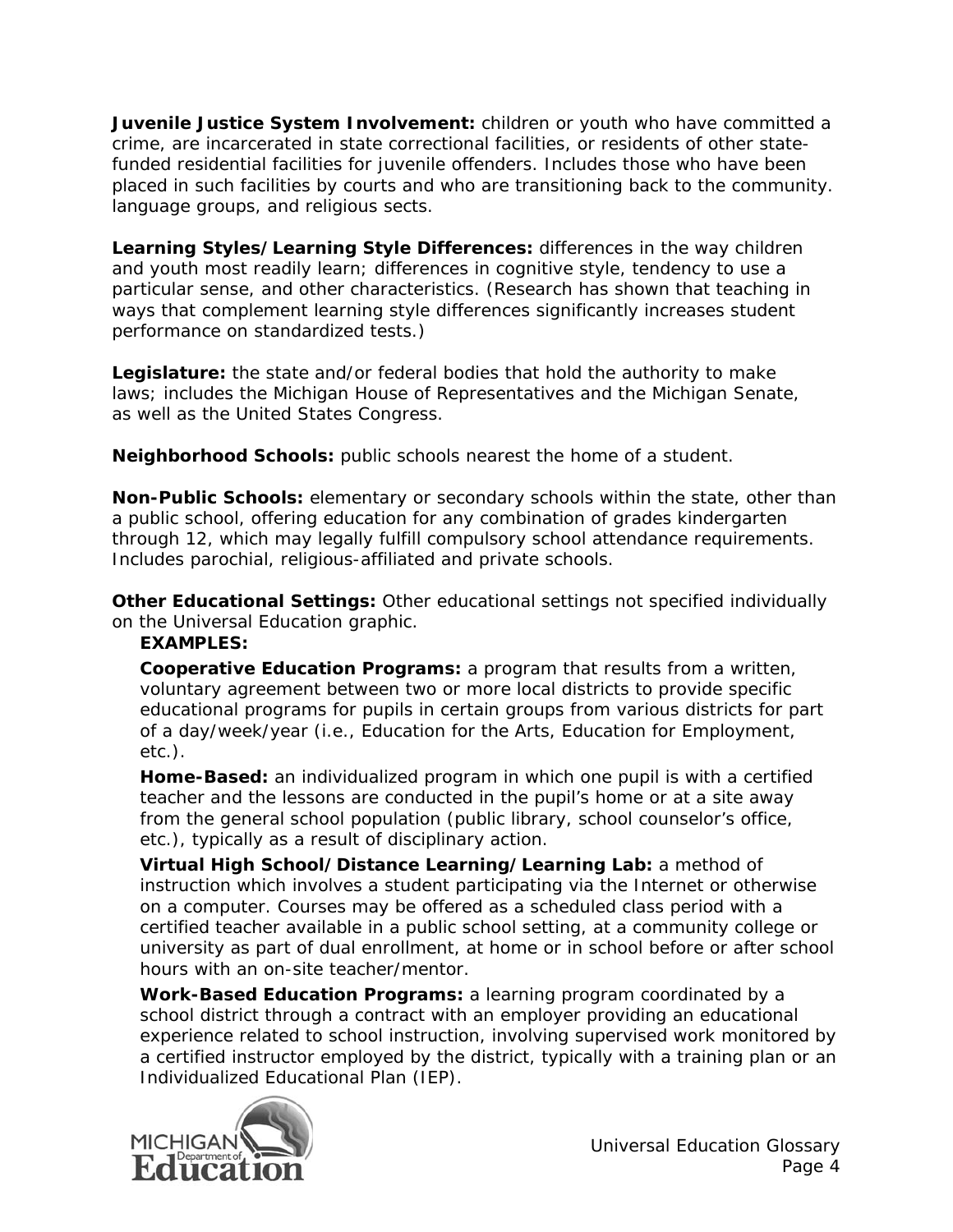**Juvenile Justice System Involvement:** children or youth who have committed a crime, are incarcerated in state correctional facilities, or residents of other statefunded residential facilities for juvenile offenders. Includes those who have been placed in such facilities by courts and who are transitioning back to the community. language groups, and religious sects.

**Learning Styles/Learning Style Differences:** differences in the way children and youth most readily learn; differences in cognitive style, tendency to use a particular sense, and other characteristics. (Research has shown that teaching in ways that complement learning style differences significantly increases student performance on standardized tests.)

**Legislature:** the state and/or federal bodies that hold the authority to make laws; includes the Michigan House of Representatives and the Michigan Senate, as well as the United States Congress.

**Neighborhood Schools:** public schools nearest the home of a student.

**Non-Public Schools:** elementary or secondary schools within the state, other than a public school, offering education for any combination of grades kindergarten through 12, which may legally fulfill compulsory school attendance requirements. Includes parochial, religious-affiliated and private schools.

**Other Educational Settings:** Other educational settings not specified individually on the Universal Education graphic.

# **EXAMPLES:**

**Cooperative Education Programs:** a program that results from a written, voluntary agreement between two or more local districts to provide specific educational programs for pupils in certain groups from various districts for part of a day/week/year (i.e., Education for the Arts, Education for Employment, etc.).

**Home-Based:** an individualized program in which one pupil is with a certified teacher and the lessons are conducted in the pupil's home or at a site away from the general school population (public library, school counselor's office, etc.), typically as a result of disciplinary action.

**Virtual High School/Distance Learning/Learning Lab:** a method of instruction which involves a student participating via the Internet or otherwise on a computer. Courses may be offered as a scheduled class period with a certified teacher available in a public school setting, at a community college or university as part of dual enrollment, at home or in school before or after school hours with an on-site teacher/mentor.

**Work-Based Education Programs:** a learning program coordinated by a school district through a contract with an employer providing an educational experience related to school instruction, involving supervised work monitored by a certified instructor employed by the district, typically with a training plan or an Individualized Educational Plan (IEP).

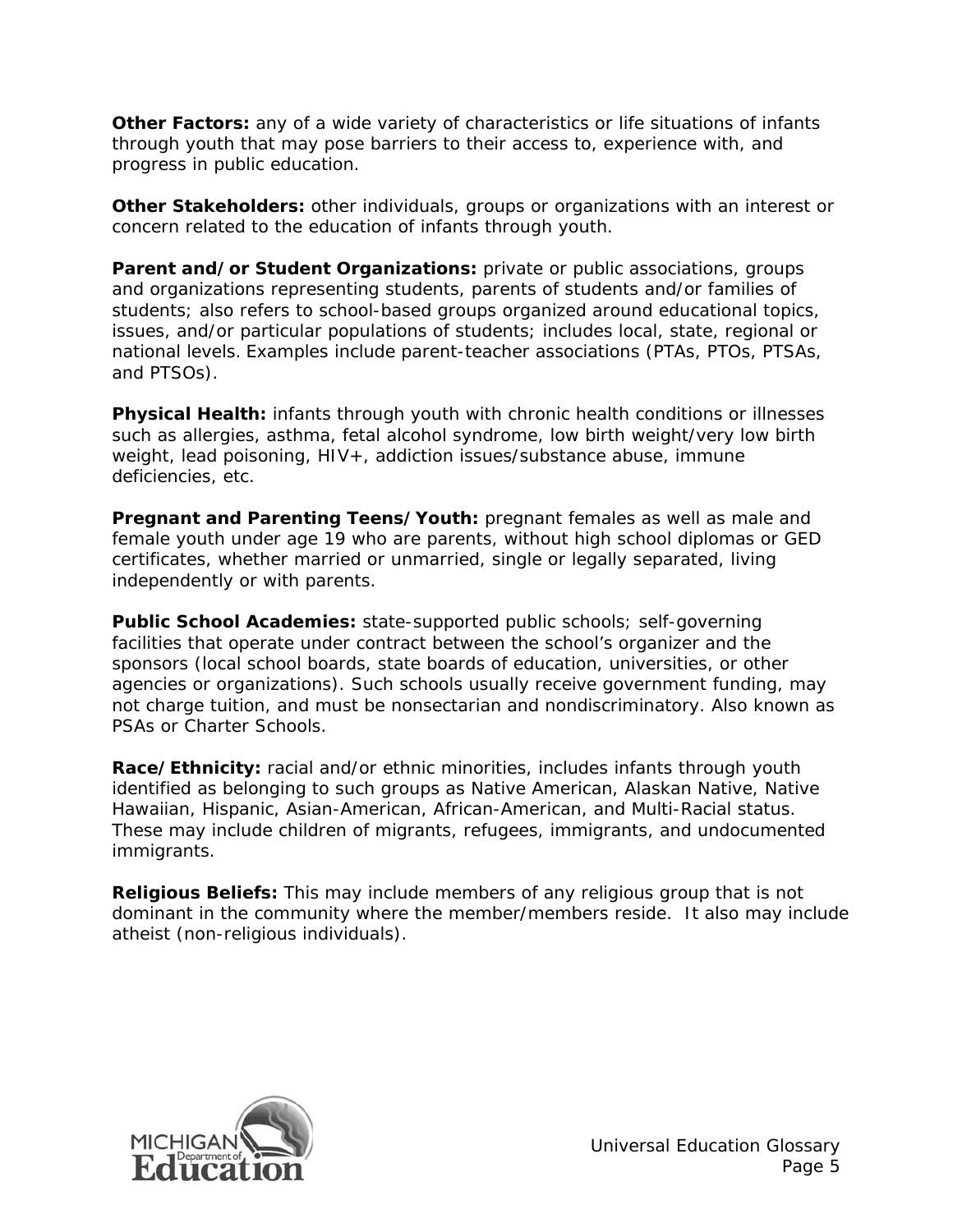**Other Factors:** any of a wide variety of characteristics or life situations of infants through youth that may pose barriers to their access to, experience with, and progress in public education.

**Other Stakeholders:** other individuals, groups or organizations with an interest or concern related to the education of infants through youth.

**Parent and/or Student Organizations:** private or public associations, groups and organizations representing students, parents of students and/or families of students; also refers to school-based groups organized around educational topics, issues, and/or particular populations of students; includes local, state, regional or national levels. Examples include parent-teacher associations (PTAs, PTOs, PTSAs, and PTSOs).

**Physical Health:** infants through youth with chronic health conditions or illnesses such as allergies, asthma, fetal alcohol syndrome, low birth weight/very low birth weight, lead poisoning, HIV+, addiction issues/substance abuse, immune deficiencies, etc.

**Pregnant and Parenting Teens/Youth:** pregnant females as well as male and female youth under age 19 who are parents, without high school diplomas or GED certificates, whether married or unmarried, single or legally separated, living independently or with parents.

**Public School Academies:** state-supported public schools; self-governing facilities that operate under contract between the school's organizer and the sponsors (local school boards, state boards of education, universities, or other agencies or organizations). Such schools usually receive government funding, may not charge tuition, and must be nonsectarian and nondiscriminatory. Also known as PSAs or Charter Schools.

**Race/Ethnicity:** racial and/or ethnic minorities, includes infants through youth identified as belonging to such groups as Native American, Alaskan Native, Native Hawaiian, Hispanic, Asian-American, African-American, and Multi-Racial status. These may include children of migrants, refugees, immigrants, and undocumented immigrants.

**Religious Beliefs:** This may include members of any religious group that is not dominant in the community where the member/members reside. It also may include atheist (non-religious individuals).